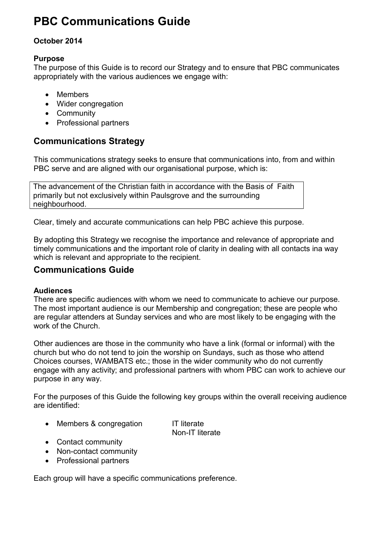# **PBC Communications Guide**

# **October 2014**

# **Purpose**

The purpose of this Guide is to record our Strategy and to ensure that PBC communicates appropriately with the various audiences we engage with:

- Members
- Wider congregation
- Community
- Professional partners

# **Communications Strategy**

This communications strategy seeks to ensure that communications into, from and within PBC serve and are aligned with our organisational purpose, which is:

The advancement of the Christian faith in accordance with the Basis of Faith primarily but not exclusively within Paulsgrove and the surrounding neighbourhood.

Clear, timely and accurate communications can help PBC achieve this purpose.

By adopting this Strategy we recognise the importance and relevance of appropriate and timely communications and the important role of clarity in dealing with all contacts ina way which is relevant and appropriate to the recipient.

# **Communications Guide**

# **Audiences**

There are specific audiences with whom we need to communicate to achieve our purpose. The most important audience is our Membership and congregation; these are people who are regular attenders at Sunday services and who are most likely to be engaging with the work of the Church.

Other audiences are those in the community who have a link (formal or informal) with the church but who do not tend to join the worship on Sundays, such as those who attend Choices courses, WAMBATS etc.; those in the wider community who do not currently engage with any activity; and professional partners with whom PBC can work to achieve our purpose in any way.

For the purposes of this Guide the following key groups within the overall receiving audience are identified:

• Members & congregation IT literate

Non-IT literate

- Contact community
- Non-contact community
- Professional partners

Each group will have a specific communications preference.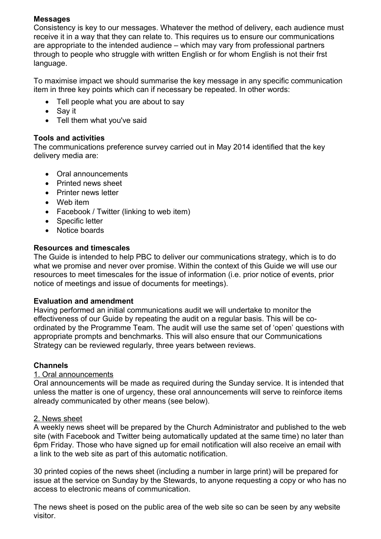### **Messages**

Consistency is key to our messages. Whatever the method of delivery, each audience must receive it in a way that they can relate to. This requires us to ensure our communications are appropriate to the intended audience – which may vary from professional partners through to people who struggle with written English or for whom English is not their frst language.

To maximise impact we should summarise the key message in any specific communication item in three key points which can if necessary be repeated. In other words:

- Tell people what you are about to say
- Say it
- Tell them what you've said

#### **Tools and activities**

The communications preference survey carried out in May 2014 identified that the key delivery media are:

- Oral announcements
- Printed news sheet
- Printer news letter
- Web item
- Facebook / Twitter (linking to web item)
- Specific letter
- Notice boards

#### **Resources and timescales**

The Guide is intended to help PBC to deliver our communications strategy, which is to do what we promise and never over promise. Within the context of this Guide we will use our resources to meet timescales for the issue of information (i.e. prior notice of events, prior notice of meetings and issue of documents for meetings).

#### **Evaluation and amendment**

Having performed an initial communications audit we will undertake to monitor the effectiveness of our Guide by repeating the audit on a regular basis. This will be coordinated by the Programme Team. The audit will use the same set of 'open' questions with appropriate prompts and benchmarks. This will also ensure that our Communications Strategy can be reviewed regularly, three years between reviews.

#### **Channels**

#### 1. Oral announcements

Oral announcements will be made as required during the Sunday service. It is intended that unless the matter is one of urgency, these oral announcements will serve to reinforce items already communicated by other means (see below).

#### 2. News sheet

A weekly news sheet will be prepared by the Church Administrator and published to the web site (with Facebook and Twitter being automatically updated at the same time) no later than 6pm Friday. Those who have signed up for email notification will also receive an email with a link to the web site as part of this automatic notification.

30 printed copies of the news sheet (including a number in large print) will be prepared for issue at the service on Sunday by the Stewards, to anyone requesting a copy or who has no access to electronic means of communication.

The news sheet is posed on the public area of the web site so can be seen by any website visitor.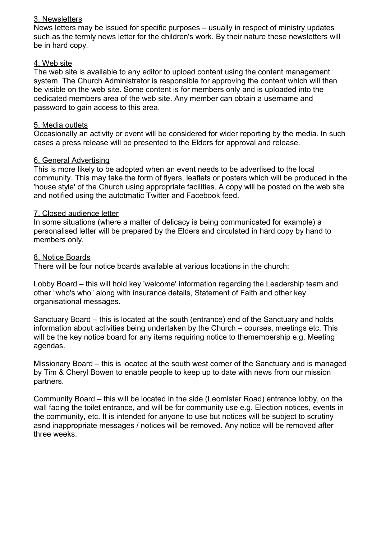#### 3. Newsletters

News letters may be issued for specific purposes – usually in respect of ministry updates such as the termly news letter for the children's work. By their nature these newsletters will be in hard copy.

#### 4. Web site

The web site is available to any editor to upload content using the content management system. The Church Administrator is responsible for approving the content which will then be visible on the web site. Some content is for members only and is uploaded into the dedicated members area of the web site. Any member can obtain a username and password to gain access to this area.

#### 5. Media outlets

Occasionally an activity or event will be considered for wider reporting by the media. In such cases a press release will be presented to the Elders for approval and release.

#### 6. General Advertising

This is more likely to be adopted when an event needs to be advertised to the local community. This may take the form of flyers, leaflets or posters which will be produced in the 'house style' of the Church using appropriate facilities. A copy will be posted on the web site and notified using the autotmatic Twitter and Facebook feed.

#### 7. Closed audience letter

In some situations (where a matter of delicacy is being communicated for example) a personalised letter will be prepared by the Elders and circulated in hard copy by hand to members only.

#### 8. Notice Boards

There will be four notice boards available at various locations in the church:

Lobby Board – this will hold key 'welcome' information regarding the Leadership team and other "who's who" along with insurance details, Statement of Faith and other key organisational messages.

Sanctuary Board – this is located at the south (entrance) end of the Sanctuary and holds information about activities being undertaken by the Church – courses, meetings etc. This will be the key notice board for any items requiring notice to themembership e.g. Meeting agendas.

Missionary Board – this is located at the south west corner of the Sanctuary and is managed by Tim & Cheryl Bowen to enable people to keep up to date with news from our mission partners.

Community Board – this will be located in the side (Leomister Road) entrance lobby, on the wall facing the toilet entrance, and will be for community use e.g. Election notices, events in the community, etc. It is intended for anyone to use but notices will be subject to scrutiny asnd inappropriate messages / notices will be removed. Any notice will be removed after three weeks.